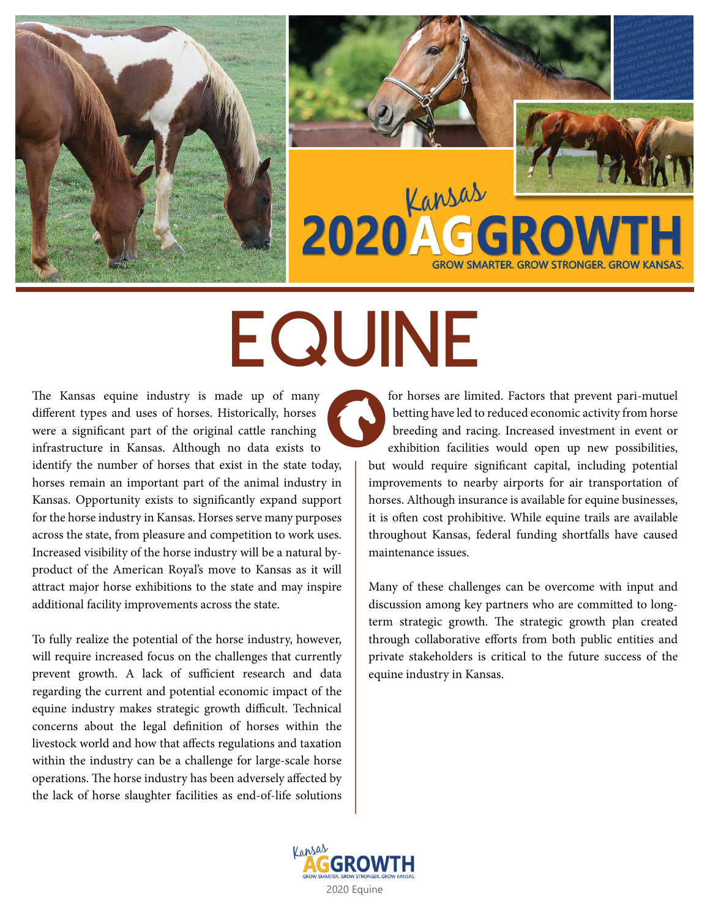



# EQUINE

The Kansas equine industry is made up of many different types and uses of horses. Historically, horses were a significant part of the original cattle ranching infrastructure in Kansas. Although no data exists to identify the number of horses that exist in the state today, horses remain an important part of the animal industry in Kansas. Opportunity exists to significantly expand support for the horse industry in Kansas. Horses serve many purposes across the state, from pleasure and competition to work uses. Increased visibility of the horse industry will be a natural byproduct of the American Royal's move to Kansas as it will attract major horse exhibitions to the state and may inspire additional facility improvements across the state.

To fully realize the potential of the horse industry, however, will require increased focus on the challenges that currently prevent growth. A lack of sufficient research and data regarding the current and potential economic impact of the equine industry makes strategic growth difficult. Technical concerns about the legal definition of horses within the livestock world and how that affects regulations and taxation within the industry can be a challenge for large-scale horse operations. The horse industry has been adversely affected by the lack of horse slaughter facilities as end-of-life solutions

for horses are limited. Factors that prevent pari-mutuel betting have led to reduced economic activity from horse breeding and racing. Increased investment in event or exhibition facilities would open up new possibilities, but would require significant capital, including potential improvements to nearby airports for air transportation of horses. Although insurance is available for equine businesses, it is often cost prohibitive. While equine trails are available throughout Kansas, federal funding shortfalls have caused maintenance issues.

Many of these challenges can be overcome with input and discussion among key partners who are committed to longterm strategic growth. The strategic growth plan created through collaborative efforts from both public entities and private stakeholders is critical to the future success of the equine industry in Kansas.

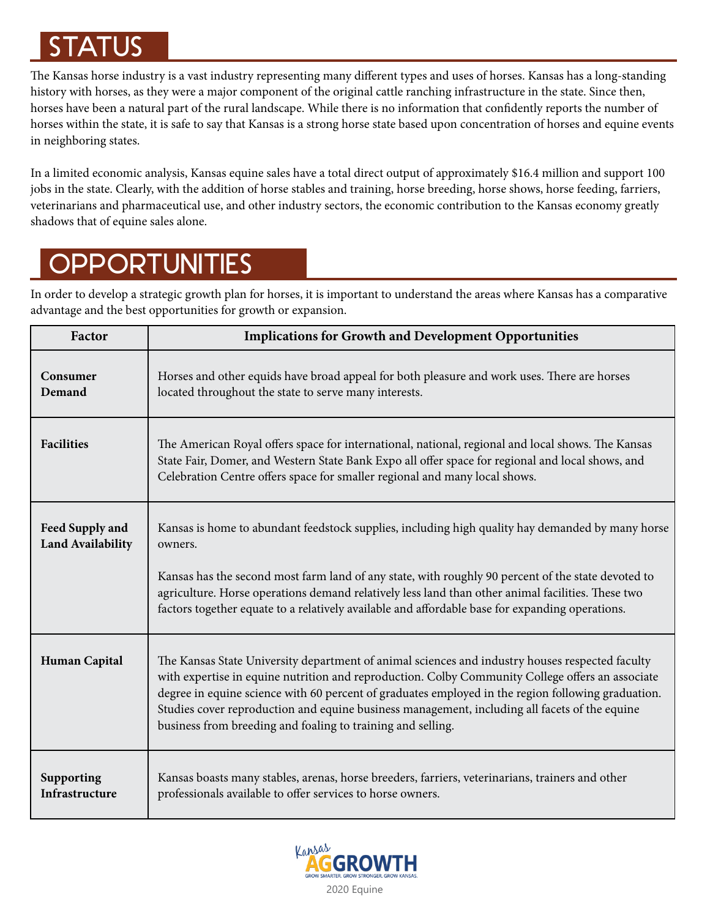## STATUS

The Kansas horse industry is a vast industry representing many different types and uses of horses. Kansas has a long-standing history with horses, as they were a major component of the original cattle ranching infrastructure in the state. Since then, horses have been a natural part of the rural landscape. While there is no information that confidently reports the number of horses within the state, it is safe to say that Kansas is a strong horse state based upon concentration of horses and equine events in neighboring states.

In a limited economic analysis, Kansas equine sales have a total direct output of approximately \$16.4 million and support 100 jobs in the state. Clearly, with the addition of horse stables and training, horse breeding, horse shows, horse feeding, farriers, veterinarians and pharmaceutical use, and other industry sectors, the economic contribution to the Kansas economy greatly shadows that of equine sales alone.

# **OPPORTUNITIES**

In order to develop a strategic growth plan for horses, it is important to understand the areas where Kansas has a comparative advantage and the best opportunities for growth or expansion.

| Factor                                      | <b>Implications for Growth and Development Opportunities</b>                                                                                                                                                                                                                                                                                                                                                                                                              |
|---------------------------------------------|---------------------------------------------------------------------------------------------------------------------------------------------------------------------------------------------------------------------------------------------------------------------------------------------------------------------------------------------------------------------------------------------------------------------------------------------------------------------------|
| Consumer<br>Demand                          | Horses and other equids have broad appeal for both pleasure and work uses. There are horses<br>located throughout the state to serve many interests.                                                                                                                                                                                                                                                                                                                      |
| <b>Facilities</b>                           | The American Royal offers space for international, national, regional and local shows. The Kansas<br>State Fair, Domer, and Western State Bank Expo all offer space for regional and local shows, and<br>Celebration Centre offers space for smaller regional and many local shows.                                                                                                                                                                                       |
| Feed Supply and<br><b>Land Availability</b> | Kansas is home to abundant feedstock supplies, including high quality hay demanded by many horse<br>owners.<br>Kansas has the second most farm land of any state, with roughly 90 percent of the state devoted to<br>agriculture. Horse operations demand relatively less land than other animal facilities. These two<br>factors together equate to a relatively available and affordable base for expanding operations.                                                 |
|                                             |                                                                                                                                                                                                                                                                                                                                                                                                                                                                           |
| <b>Human Capital</b>                        | The Kansas State University department of animal sciences and industry houses respected faculty<br>with expertise in equine nutrition and reproduction. Colby Community College offers an associate<br>degree in equine science with 60 percent of graduates employed in the region following graduation.<br>Studies cover reproduction and equine business management, including all facets of the equine<br>business from breeding and foaling to training and selling. |
| Supporting<br>Infrastructure                | Kansas boasts many stables, arenas, horse breeders, farriers, veterinarians, trainers and other<br>professionals available to offer services to horse owners.                                                                                                                                                                                                                                                                                                             |

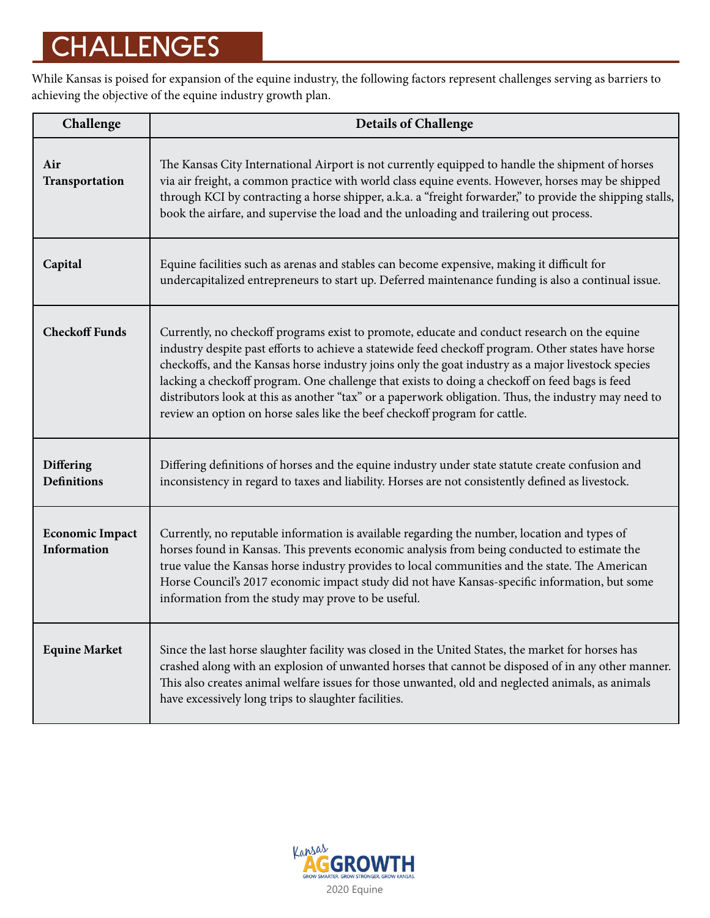# CHALLENGES

While Kansas is poised for expansion of the equine industry, the following factors represent challenges serving as barriers to achieving the objective of the equine industry growth plan.

| Challenge                                    | <b>Details of Challenge</b>                                                                                                                                                                                                                                                                                                                                                                                                                                                                                                                                                                       |
|----------------------------------------------|---------------------------------------------------------------------------------------------------------------------------------------------------------------------------------------------------------------------------------------------------------------------------------------------------------------------------------------------------------------------------------------------------------------------------------------------------------------------------------------------------------------------------------------------------------------------------------------------------|
| Air<br>Transportation                        | The Kansas City International Airport is not currently equipped to handle the shipment of horses<br>via air freight, a common practice with world class equine events. However, horses may be shipped<br>through KCI by contracting a horse shipper, a.k.a. a "freight forwarder," to provide the shipping stalls,<br>book the airfare, and supervise the load and the unloading and trailering out process.                                                                                                                                                                                      |
| Capital                                      | Equine facilities such as arenas and stables can become expensive, making it difficult for<br>undercapitalized entrepreneurs to start up. Deferred maintenance funding is also a continual issue.                                                                                                                                                                                                                                                                                                                                                                                                 |
| <b>Checkoff Funds</b>                        | Currently, no checkoff programs exist to promote, educate and conduct research on the equine<br>industry despite past efforts to achieve a statewide feed checkoff program. Other states have horse<br>checkoffs, and the Kansas horse industry joins only the goat industry as a major livestock species<br>lacking a checkoff program. One challenge that exists to doing a checkoff on feed bags is feed<br>distributors look at this as another "tax" or a paperwork obligation. Thus, the industry may need to<br>review an option on horse sales like the beef checkoff program for cattle. |
| Differing<br><b>Definitions</b>              | Differing definitions of horses and the equine industry under state statute create confusion and<br>inconsistency in regard to taxes and liability. Horses are not consistently defined as livestock.                                                                                                                                                                                                                                                                                                                                                                                             |
| <b>Economic Impact</b><br><b>Information</b> | Currently, no reputable information is available regarding the number, location and types of<br>horses found in Kansas. This prevents economic analysis from being conducted to estimate the<br>true value the Kansas horse industry provides to local communities and the state. The American<br>Horse Council's 2017 economic impact study did not have Kansas-specific information, but some<br>information from the study may prove to be useful.                                                                                                                                             |
| <b>Equine Market</b>                         | Since the last horse slaughter facility was closed in the United States, the market for horses has<br>crashed along with an explosion of unwanted horses that cannot be disposed of in any other manner.<br>This also creates animal welfare issues for those unwanted, old and neglected animals, as animals<br>have excessively long trips to slaughter facilities.                                                                                                                                                                                                                             |

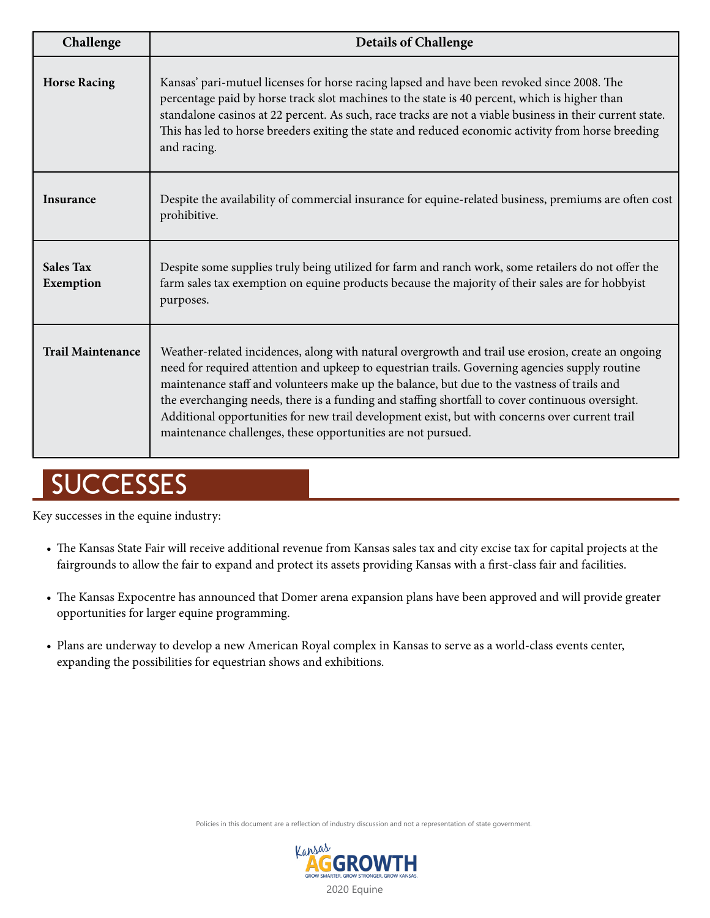| Challenge                     | <b>Details of Challenge</b>                                                                                                                                                                                                                                                                                                                                                                                                                                                                                                                                               |
|-------------------------------|---------------------------------------------------------------------------------------------------------------------------------------------------------------------------------------------------------------------------------------------------------------------------------------------------------------------------------------------------------------------------------------------------------------------------------------------------------------------------------------------------------------------------------------------------------------------------|
| <b>Horse Racing</b>           | Kansas' pari-mutuel licenses for horse racing lapsed and have been revoked since 2008. The<br>percentage paid by horse track slot machines to the state is 40 percent, which is higher than<br>standalone casinos at 22 percent. As such, race tracks are not a viable business in their current state.<br>This has led to horse breeders exiting the state and reduced economic activity from horse breeding<br>and racing.                                                                                                                                              |
| <b>Insurance</b>              | Despite the availability of commercial insurance for equine-related business, premiums are often cost<br>prohibitive.                                                                                                                                                                                                                                                                                                                                                                                                                                                     |
| <b>Sales Tax</b><br>Exemption | Despite some supplies truly being utilized for farm and ranch work, some retailers do not offer the<br>farm sales tax exemption on equine products because the majority of their sales are for hobbyist<br>purposes.                                                                                                                                                                                                                                                                                                                                                      |
| <b>Trail Maintenance</b>      | Weather-related incidences, along with natural overgrowth and trail use erosion, create an ongoing<br>need for required attention and upkeep to equestrian trails. Governing agencies supply routine<br>maintenance staff and volunteers make up the balance, but due to the vastness of trails and<br>the everchanging needs, there is a funding and staffing shortfall to cover continuous oversight.<br>Additional opportunities for new trail development exist, but with concerns over current trail<br>maintenance challenges, these opportunities are not pursued. |

# **SUCCESSES**

Key successes in the equine industry:

- The Kansas State Fair will receive additional revenue from Kansas sales tax and city excise tax for capital projects at the fairgrounds to allow the fair to expand and protect its assets providing Kansas with a first-class fair and facilities.
- The Kansas Expocentre has announced that Domer arena expansion plans have been approved and will provide greater opportunities for larger equine programming.
- Plans are underway to develop a new American Royal complex in Kansas to serve as a world-class events center, expanding the possibilities for equestrian shows and exhibitions.

Policies in this document are a reflection of industry discussion and not a representation of state government.

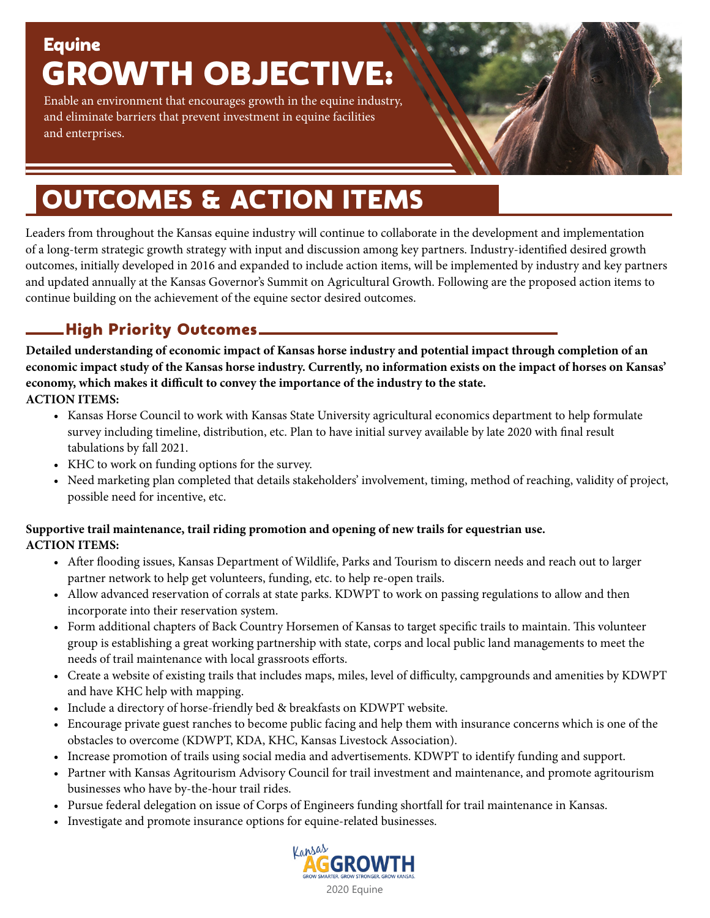# Equine GROWTH OBJECTIVE:

Enable an environment that encourages growth in the equine industry, and eliminate barriers that prevent investment in equine facilities and enterprises.

# OUTCOMES & ACTION ITEMS

Leaders from throughout the Kansas equine industry will continue to collaborate in the development and implementation of a long-term strategic growth strategy with input and discussion among key partners. Industry-identified desired growth outcomes, initially developed in 2016 and expanded to include action items, will be implemented by industry and key partners and updated annually at the Kansas Governor's Summit on Agricultural Growth. Following are the proposed action items to continue building on the achievement of the equine sector desired outcomes.

## High Priority Outcomes

**Detailed understanding of economic impact of Kansas horse industry and potential impact through completion of an economic impact study of the Kansas horse industry. Currently, no information exists on the impact of horses on Kansas' economy, which makes it difficult to convey the importance of the industry to the state.**

**ACTION ITEMS:**

- Kansas Horse Council to work with Kansas State University agricultural economics department to help formulate survey including timeline, distribution, etc. Plan to have initial survey available by late 2020 with final result tabulations by fall 2021.
- KHC to work on funding options for the survey.
- Need marketing plan completed that details stakeholders' involvement, timing, method of reaching, validity of project, possible need for incentive, etc.

#### **Supportive trail maintenance, trail riding promotion and opening of new trails for equestrian use. ACTION ITEMS:**

- After flooding issues, Kansas Department of Wildlife, Parks and Tourism to discern needs and reach out to larger partner network to help get volunteers, funding, etc. to help re-open trails.
- Allow advanced reservation of corrals at state parks. KDWPT to work on passing regulations to allow and then incorporate into their reservation system.
- Form additional chapters of Back Country Horsemen of Kansas to target specific trails to maintain. This volunteer group is establishing a great working partnership with state, corps and local public land managements to meet the needs of trail maintenance with local grassroots efforts.
- Create a website of existing trails that includes maps, miles, level of difficulty, campgrounds and amenities by KDWPT and have KHC help with mapping.
- Include a directory of horse-friendly bed & breakfasts on KDWPT website.
- Encourage private guest ranches to become public facing and help them with insurance concerns which is one of the obstacles to overcome (KDWPT, KDA, KHC, Kansas Livestock Association).
- Increase promotion of trails using social media and advertisements. KDWPT to identify funding and support.
- Partner with Kansas Agritourism Advisory Council for trail investment and maintenance, and promote agritourism businesses who have by-the-hour trail rides.
- Pursue federal delegation on issue of Corps of Engineers funding shortfall for trail maintenance in Kansas.
- Investigate and promote insurance options for equine-related businesses.